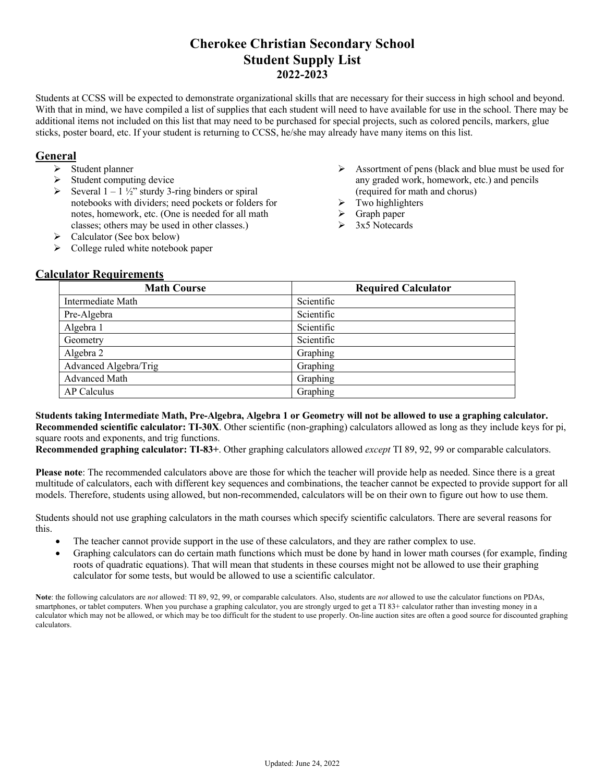### **Cherokee Christian Secondary School Student Supply List 2022-2023**

Students at CCSS will be expected to demonstrate organizational skills that are necessary for their success in high school and beyond. With that in mind, we have compiled a list of supplies that each student will need to have available for use in the school. There may be additional items not included on this list that may need to be purchased for special projects, such as colored pencils, markers, glue sticks, poster board, etc. If your student is returning to CCSS, he/she may already have many items on this list.

#### **General**

- Ø Student planner
- $\triangleright$  Student computing device
- $\triangleright$  Several 1 1 ½" sturdy 3-ring binders or spiral notebooks with dividers; need pockets or folders for notes, homework, etc. (One is needed for all math classes; others may be used in other classes.)
- Ø Assortment of pens (black and blue must be used for any graded work, homework, etc.) and pencils (required for math and chorus)
- Two highlighters
- Graph paper
- Ø 3x5 Notecards
- $\triangleright$  Calculator (See box below)
- $\triangleright$  College ruled white notebook paper

### **Calculator Requirements**

| <b>Math Course</b>    | <b>Required Calculator</b> |
|-----------------------|----------------------------|
| Intermediate Math     | Scientific                 |
| Pre-Algebra           | Scientific                 |
| Algebra 1             | Scientific                 |
| Geometry              | Scientific                 |
| Algebra 2             | Graphing                   |
| Advanced Algebra/Trig | Graphing                   |
| <b>Advanced Math</b>  | Graphing                   |
| AP Calculus           | Graphing                   |

**Students taking Intermediate Math, Pre-Algebra, Algebra 1 or Geometry will not be allowed to use a graphing calculator. Recommended scientific calculator: TI-30X**. Other scientific (non-graphing) calculators allowed as long as they include keys for pi, square roots and exponents, and trig functions.

**Recommended graphing calculator: TI-83+**. Other graphing calculators allowed *except* TI 89, 92, 99 or comparable calculators.

**Please note**: The recommended calculators above are those for which the teacher will provide help as needed. Since there is a great multitude of calculators, each with different key sequences and combinations, the teacher cannot be expected to provide support for all models. Therefore, students using allowed, but non-recommended, calculators will be on their own to figure out how to use them.

Students should not use graphing calculators in the math courses which specify scientific calculators. There are several reasons for this.

- The teacher cannot provide support in the use of these calculators, and they are rather complex to use.
- Graphing calculators can do certain math functions which must be done by hand in lower math courses (for example, finding roots of quadratic equations). That will mean that students in these courses might not be allowed to use their graphing calculator for some tests, but would be allowed to use a scientific calculator.

**Note**: the following calculators are *not* allowed: TI 89, 92, 99, or comparable calculators. Also, students are *not* allowed to use the calculator functions on PDAs, smartphones, or tablet computers. When you purchase a graphing calculator, you are strongly urged to get a TI 83+ calculator rather than investing money in a calculator which may not be allowed, or which may be too difficult for the student to use properly. On-line auction sites are often a good source for discounted graphing calculators.